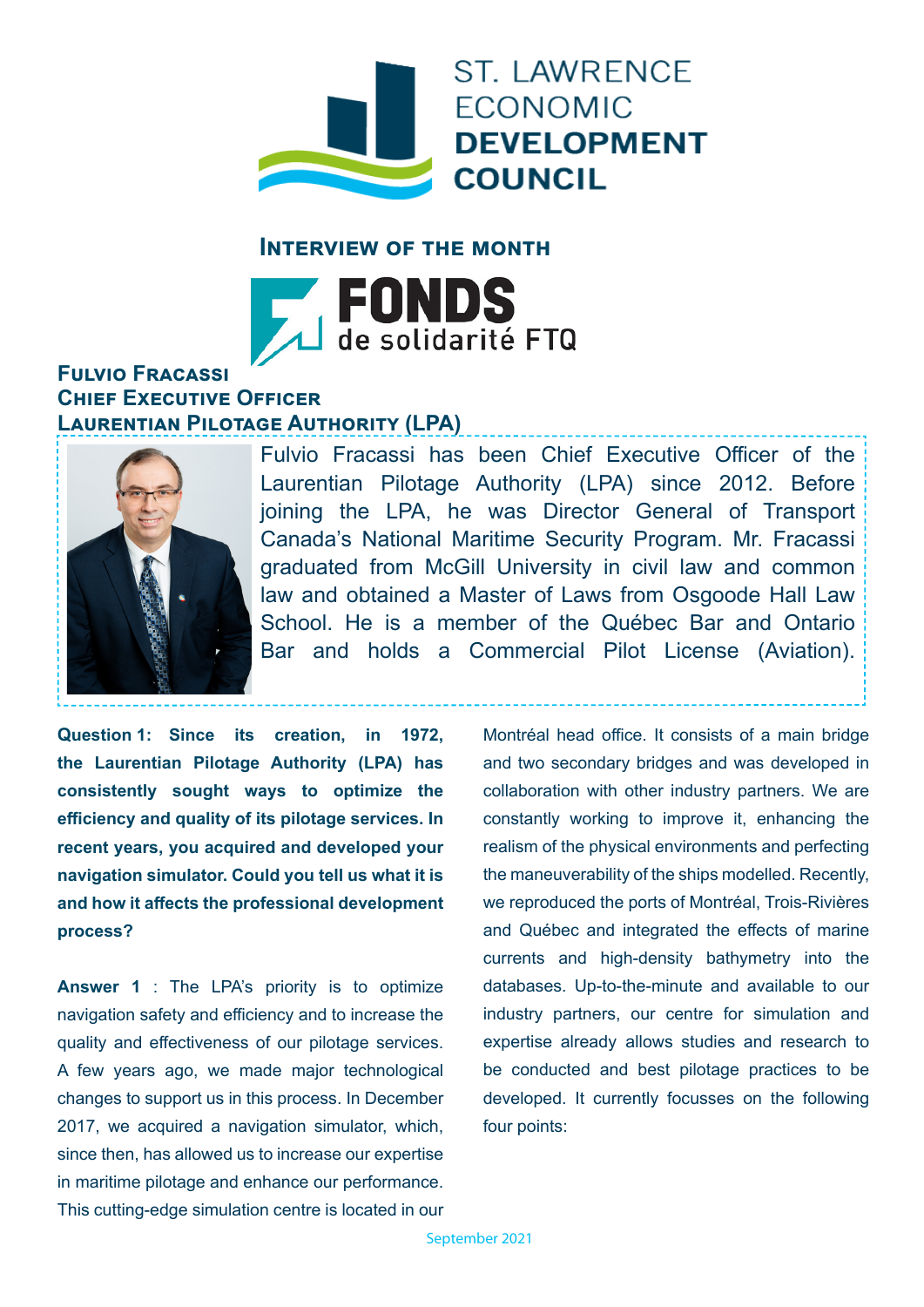

## **Interview of the month**



## **Fulvio Fracassi Chief Executive Officer Laurentian Pilotage Authority (LPA)**



Fulvio Fracassi has been Chief Executive Officer of the Laurentian Pilotage Authority (LPA) since 2012. Before joining the LPA, he was Director General of Transport Canada's National Maritime Security Program. Mr. Fracassi graduated from McGill University in civil law and common law and obtained a Master of Laws from Osgoode Hall Law School. He is a member of the Québec Bar and Ontario Bar and holds a Commercial Pilot License (Aviation).

**Question 1: Since its creation, in 1972, the Laurentian Pilotage Authority (LPA) has consistently sought ways to optimize the efficiency and quality of its pilotage services. In recent years, you acquired and developed your navigation simulator. Could you tell us what it is and how it affects the professional development process?** 

**Answer 1** : The LPA's priority is to optimize navigation safety and efficiency and to increase the quality and effectiveness of our pilotage services. A few years ago, we made major technological changes to support us in this process. In December 2017, we acquired a navigation simulator, which, since then, has allowed us to increase our expertise in maritime pilotage and enhance our performance. This cutting-edge simulation centre is located in our Montréal head office. It consists of a main bridge and two secondary bridges and was developed in collaboration with other industry partners. We are constantly working to improve it, enhancing the realism of the physical environments and perfecting the maneuverability of the ships modelled. Recently, we reproduced the ports of Montréal, Trois-Rivières and Québec and integrated the effects of marine currents and high-density bathymetry into the databases. Up-to-the-minute and available to our industry partners, our centre for simulation and expertise already allows studies and research to be conducted and best pilotage practices to be developed. It currently focusses on the following four points: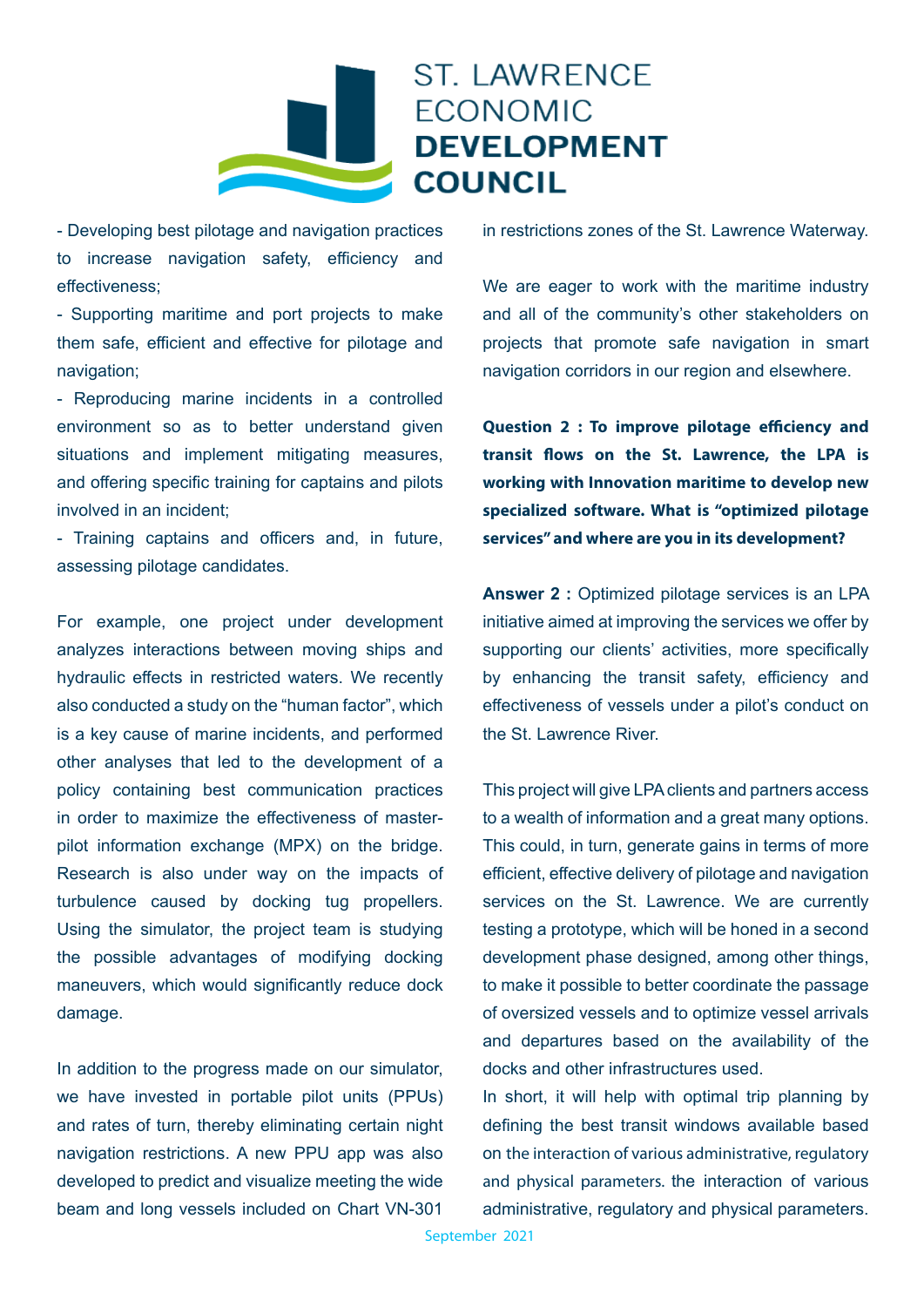

## - Developing best pilotage and navigation practices to increase navigation safety, efficiency and effectiveness;

- Supporting maritime and port projects to make them safe, efficient and effective for pilotage and navigation;

- Reproducing marine incidents in a controlled environment so as to better understand given situations and implement mitigating measures, and offering specific training for captains and pilots involved in an incident;

- Training captains and officers and, in future, assessing pilotage candidates.

For example, one project under development analyzes interactions between moving ships and hydraulic effects in restricted waters. We recently also conducted a study on the "human factor", which is a key cause of marine incidents, and performed other analyses that led to the development of a policy containing best communication practices in order to maximize the effectiveness of masterpilot information exchange (MPX) on the bridge. Research is also under way on the impacts of turbulence caused by docking tug propellers. Using the simulator, the project team is studying the possible advantages of modifying docking maneuvers, which would significantly reduce dock damage.

In addition to the progress made on our simulator, we have invested in portable pilot units (PPUs) and rates of turn, thereby eliminating certain night navigation restrictions. A new PPU app was also developed to predict and visualize meeting the wide beam and long vessels included on Chart VN-301

in restrictions zones of the St. Lawrence Waterway.

We are eager to work with the maritime industry and all of the community's other stakeholders on projects that promote safe navigation in smart navigation corridors in our region and elsewhere.

**Question 2 : To improve pilotage efficiency and transit flows on the St. Lawrence, the LPA is working with Innovation maritime to develop new specialized software. What is "optimized pilotage services" and where are you in its development?**

**Answer 2 :** Optimized pilotage services is an LPA initiative aimed at improving the services we offer by supporting our clients' activities, more specifically by enhancing the transit safety, efficiency and effectiveness of vessels under a pilot's conduct on the St. Lawrence River.

This project will give LPA clients and partners access to a wealth of information and a great many options. This could, in turn, generate gains in terms of more efficient, effective delivery of pilotage and navigation services on the St. Lawrence. We are currently testing a prototype, which will be honed in a second development phase designed, among other things, to make it possible to better coordinate the passage of oversized vessels and to optimize vessel arrivals and departures based on the availability of the docks and other infrastructures used.

In short, it will help with optimal trip planning by defining the best transit windows available based on the interaction of various administrative, regulatory and physical parameters. the interaction of various administrative, regulatory and physical parameters.